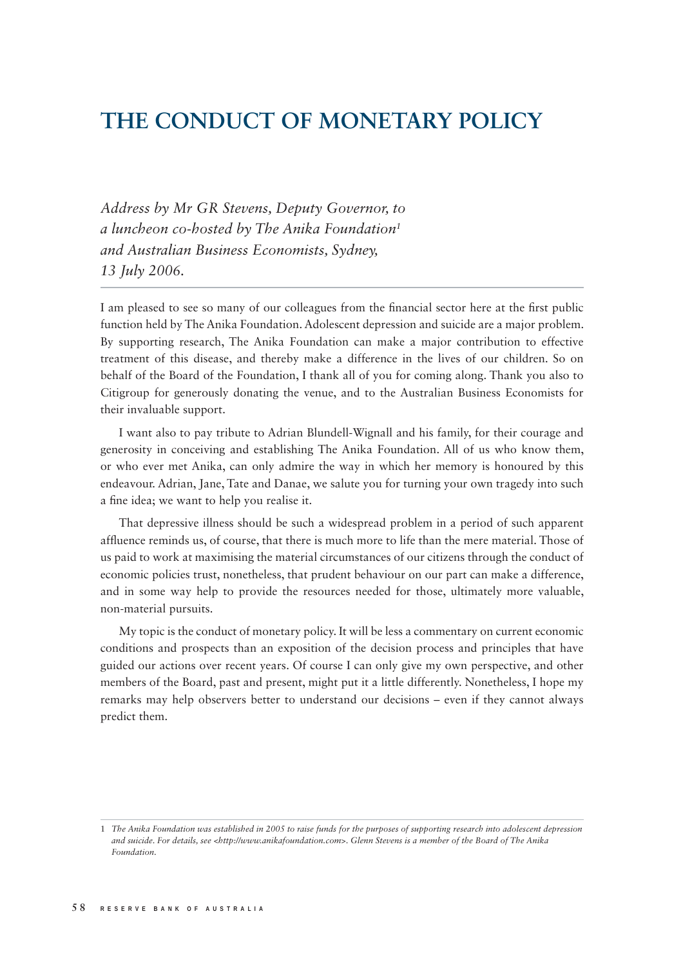# **THE CONDUCT OF MONETARY POLICY**

*Address by Mr GR Stevens, Deputy Governor, to a luncheon co-hosted by The Anika Foundation1 and Australian Business Economists, Sydney, 13 July 2006.*

I am pleased to see so many of our colleagues from the financial sector here at the first public function held by The Anika Foundation. Adolescent depression and suicide are a major problem. By supporting research, The Anika Foundation can make a major contribution to effective treatment of this disease, and thereby make a difference in the lives of our children. So on behalf of the Board of the Foundation, I thank all of you for coming along. Thank you also to Citigroup for generously donating the venue, and to the Australian Business Economists for their invaluable support.

I want also to pay tribute to Adrian Blundell-Wignall and his family, for their courage and generosity in conceiving and establishing The Anika Foundation. All of us who know them, or who ever met Anika, can only admire the way in which her memory is honoured by this endeavour. Adrian, Jane, Tate and Danae, we salute you for turning your own tragedy into such a fine idea; we want to help you realise it.

That depressive illness should be such a widespread problem in a period of such apparent affluence reminds us, of course, that there is much more to life than the mere material. Those of us paid to work at maximising the material circumstances of our citizens through the conduct of economic policies trust, nonetheless, that prudent behaviour on our part can make a difference, and in some way help to provide the resources needed for those, ultimately more valuable, non-material pursuits.

My topic is the conduct of monetary policy. It will be less a commentary on current economic conditions and prospects than an exposition of the decision process and principles that have guided our actions over recent years. Of course I can only give my own perspective, and other members of the Board, past and present, might put it a little differently. Nonetheless, I hope my remarks may help observers better to understand our decisions – even if they cannot always predict them.

<sup>1</sup> *The Anika Foundation was established in 2005 to raise funds for the purposes of supporting research into adolescent depression and suicide. For details, see <http://www.anikafoundation.com>. Glenn Stevens is a member of the Board of The Anika Foundation.*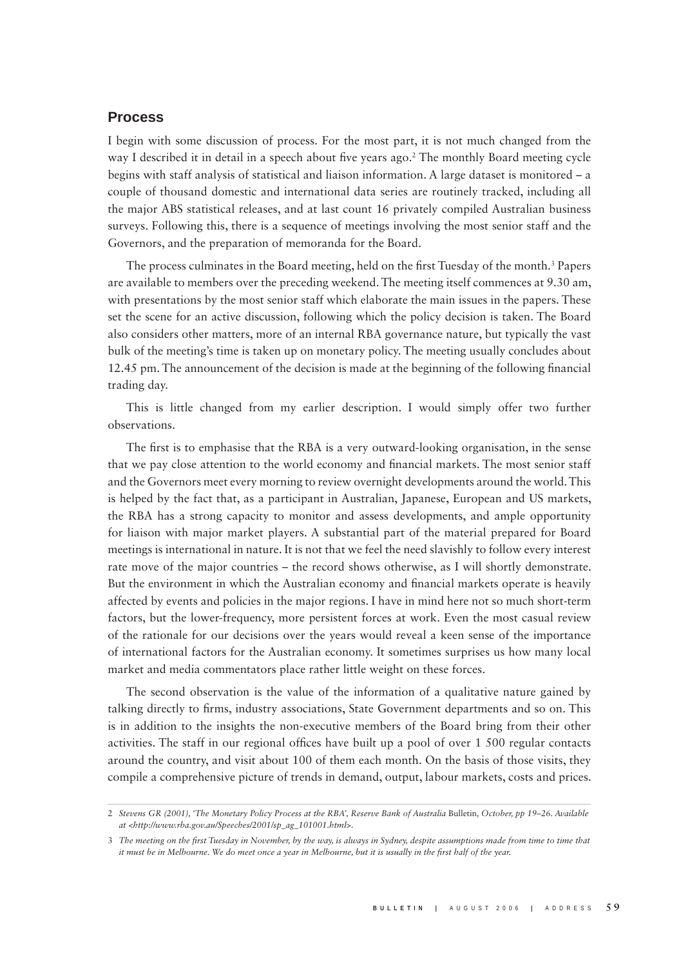## **Process**

I begin with some discussion of process. For the most part, it is not much changed from the way I described it in detail in a speech about five years ago.<sup>2</sup> The monthly Board meeting cycle begins with staff analysis of statistical and liaison information. A large dataset is monitored – a couple of thousand domestic and international data series are routinely tracked, including all the major ABS statistical releases, and at last count 16 privately compiled Australian business surveys. Following this, there is a sequence of meetings involving the most senior staff and the Governors, and the preparation of memoranda for the Board.

The process culminates in the Board meeting, held on the first Tuesday of the month.<sup>3</sup> Papers are available to members over the preceding weekend. The meeting itself commences at 9.30 am, with presentations by the most senior staff which elaborate the main issues in the papers. These set the scene for an active discussion, following which the policy decision is taken. The Board also considers other matters, more of an internal RBA governance nature, but typically the vast bulk of the meeting's time is taken up on monetary policy. The meeting usually concludes about 12.45 pm. The announcement of the decision is made at the beginning of the following financial trading day.

This is little changed from my earlier description. I would simply offer two further observations.

The first is to emphasise that the RBA is a very outward-looking organisation, in the sense that we pay close attention to the world economy and financial markets. The most senior staff and the Governors meet every morning to review overnight developments around the world. This is helped by the fact that, as a participant in Australian, Japanese, European and US markets, the RBA has a strong capacity to monitor and assess developments, and ample opportunity for liaison with major market players. A substantial part of the material prepared for Board meetings is international in nature. It is not that we feel the need slavishly to follow every interest rate move of the major countries – the record shows otherwise, as I will shortly demonstrate. But the environment in which the Australian economy and financial markets operate is heavily affected by events and policies in the major regions. I have in mind here not so much short-term factors, but the lower-frequency, more persistent forces at work. Even the most casual review of the rationale for our decisions over the years would reveal a keen sense of the importance of international factors for the Australian economy. It sometimes surprises us how many local market and media commentators place rather little weight on these forces.

The second observation is the value of the information of a qualitative nature gained by talking directly to firms, industry associations, State Government departments and so on. This is in addition to the insights the non-executive members of the Board bring from their other activities. The staff in our regional offices have built up a pool of over 1 500 regular contacts around the country, and visit about 100 of them each month. On the basis of those visits, they compile a comprehensive picture of trends in demand, output, labour markets, costs and prices.

<sup>2</sup> *Stevens GR (2001), 'The Monetary Policy Process at the RBA', Reserve Bank of Australia* Bulletin*, October, pp 19–26. Available at <http://www.rba.gov.au/Speeches/2001/sp\_ag\_101001.html>.*

<sup>3</sup> The meeting on the first Tuesday in November, by the way, is always in Sydney, despite assumptions made from time to time that *it must be in Melbourne. We do meet once a year in Melbourne, but it is usually in the first half of the year.*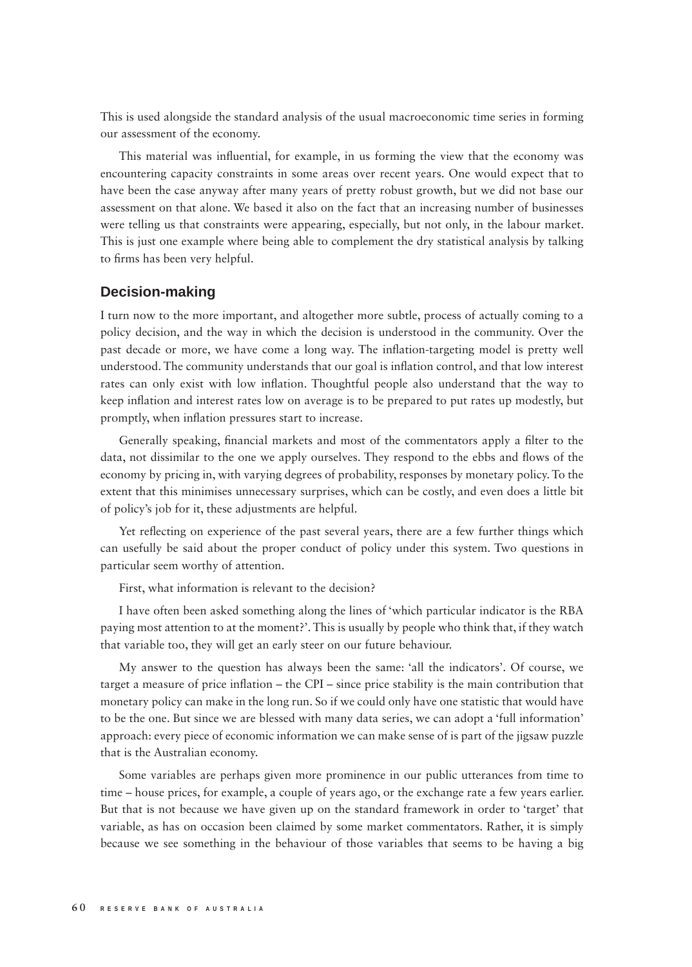This is used alongside the standard analysis of the usual macroeconomic time series in forming our assessment of the economy.

This material was influential, for example, in us forming the view that the economy was encountering capacity constraints in some areas over recent years. One would expect that to have been the case anyway after many years of pretty robust growth, but we did not base our assessment on that alone. We based it also on the fact that an increasing number of businesses were telling us that constraints were appearing, especially, but not only, in the labour market. This is just one example where being able to complement the dry statistical analysis by talking to firms has been very helpful.

#### **Decision-making**

I turn now to the more important, and altogether more subtle, process of actually coming to a policy decision, and the way in which the decision is understood in the community. Over the past decade or more, we have come a long way. The inflation-targeting model is pretty well understood. The community understands that our goal is inflation control, and that low interest rates can only exist with low inflation. Thoughtful people also understand that the way to keep inflation and interest rates low on average is to be prepared to put rates up modestly, but promptly, when inflation pressures start to increase.

Generally speaking, financial markets and most of the commentators apply a filter to the data, not dissimilar to the one we apply ourselves. They respond to the ebbs and flows of the economy by pricing in, with varying degrees of probability, responses by monetary policy. To the extent that this minimises unnecessary surprises, which can be costly, and even does a little bit of policy's job for it, these adjustments are helpful.

Yet reflecting on experience of the past several years, there are a few further things which can usefully be said about the proper conduct of policy under this system. Two questions in particular seem worthy of attention.

First, what information is relevant to the decision?

I have often been asked something along the lines of 'which particular indicator is the RBA paying most attention to at the moment?'. This is usually by people who think that, if they watch that variable too, they will get an early steer on our future behaviour.

My answer to the question has always been the same: 'all the indicators'. Of course, we target a measure of price inflation – the CPI – since price stability is the main contribution that monetary policy can make in the long run. So if we could only have one statistic that would have to be the one. But since we are blessed with many data series, we can adopt a 'full information' approach: every piece of economic information we can make sense of is part of the jigsaw puzzle that is the Australian economy.

Some variables are perhaps given more prominence in our public utterances from time to time – house prices, for example, a couple of years ago, or the exchange rate a few years earlier. But that is not because we have given up on the standard framework in order to 'target' that variable, as has on occasion been claimed by some market commentators. Rather, it is simply because we see something in the behaviour of those variables that seems to be having a big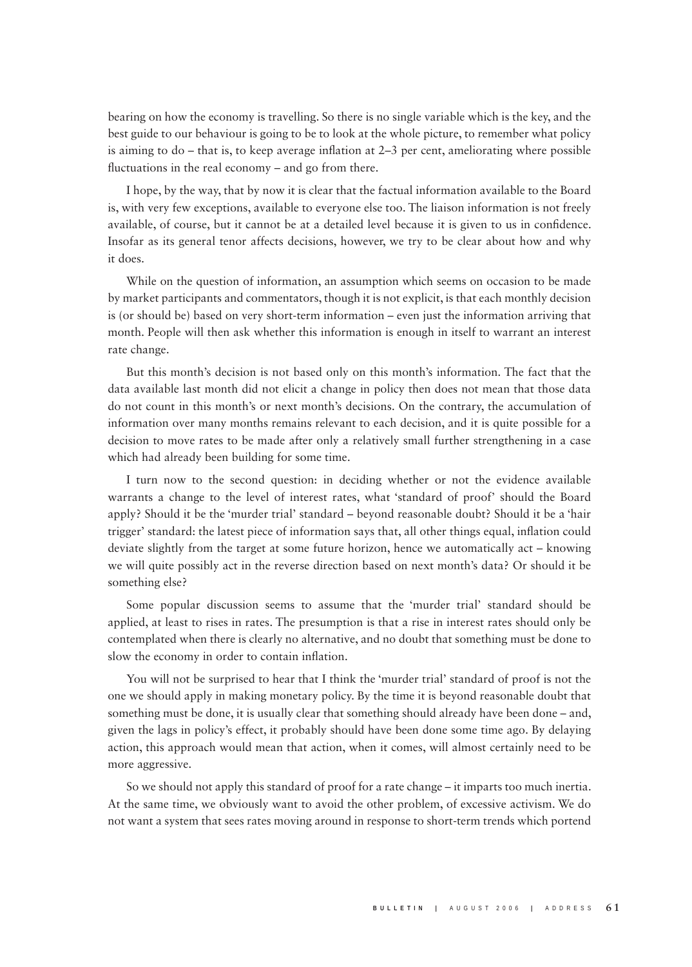bearing on how the economy is travelling. So there is no single variable which is the key, and the best guide to our behaviour is going to be to look at the whole picture, to remember what policy is aiming to do – that is, to keep average inflation at  $2-3$  per cent, ameliorating where possible fluctuations in the real economy  $-$  and go from there.

I hope, by the way, that by now it is clear that the factual information available to the Board is, with very few exceptions, available to everyone else too. The liaison information is not freely available, of course, but it cannot be at a detailed level because it is given to us in confidence. Insofar as its general tenor affects decisions, however, we try to be clear about how and why it does.

While on the question of information, an assumption which seems on occasion to be made by market participants and commentators, though it is not explicit, is that each monthly decision is (or should be) based on very short-term information – even just the information arriving that month. People will then ask whether this information is enough in itself to warrant an interest rate change.

But this month's decision is not based only on this month's information. The fact that the data available last month did not elicit a change in policy then does not mean that those data do not count in this month's or next month's decisions. On the contrary, the accumulation of information over many months remains relevant to each decision, and it is quite possible for a decision to move rates to be made after only a relatively small further strengthening in a case which had already been building for some time.

I turn now to the second question: in deciding whether or not the evidence available warrants a change to the level of interest rates, what 'standard of proof' should the Board apply? Should it be the 'murder trial' standard – beyond reasonable doubt? Should it be a 'hair trigger' standard: the latest piece of information says that, all other things equal, inflation could deviate slightly from the target at some future horizon, hence we automatically act – knowing we will quite possibly act in the reverse direction based on next month's data? Or should it be something else?

Some popular discussion seems to assume that the 'murder trial' standard should be applied, at least to rises in rates. The presumption is that a rise in interest rates should only be contemplated when there is clearly no alternative, and no doubt that something must be done to slow the economy in order to contain inflation.

You will not be surprised to hear that I think the 'murder trial' standard of proof is not the one we should apply in making monetary policy. By the time it is beyond reasonable doubt that something must be done, it is usually clear that something should already have been done – and, given the lags in policy's effect, it probably should have been done some time ago. By delaying action, this approach would mean that action, when it comes, will almost certainly need to be more aggressive.

So we should not apply this standard of proof for a rate change – it imparts too much inertia. At the same time, we obviously want to avoid the other problem, of excessive activism. We do not want a system that sees rates moving around in response to short-term trends which portend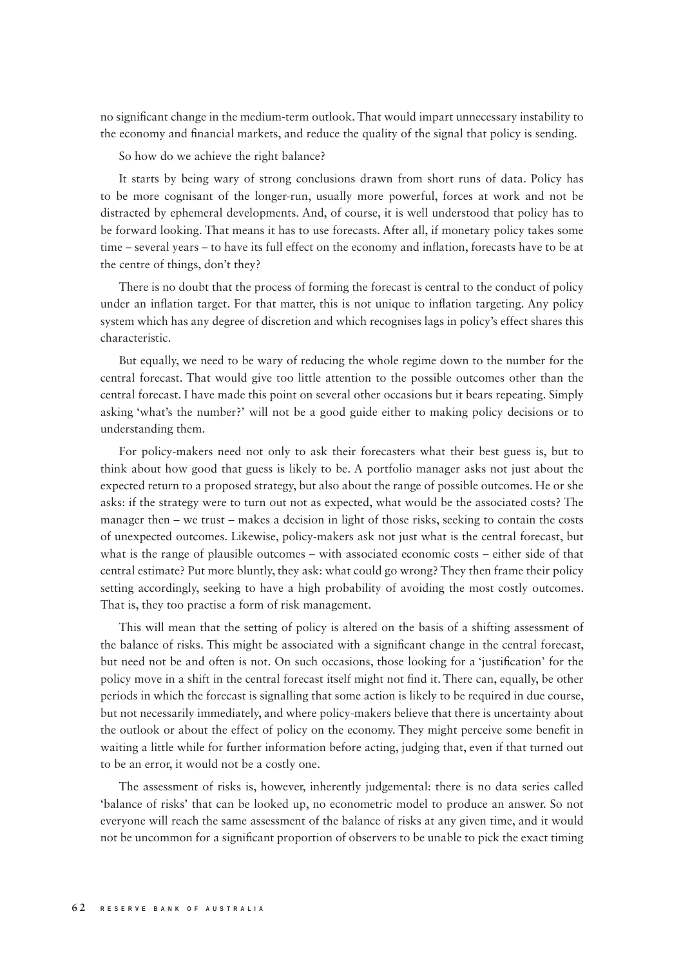no significant change in the medium-term outlook. That would impart unnecessary instability to the economy and financial markets, and reduce the quality of the signal that policy is sending.

So how do we achieve the right balance?

It starts by being wary of strong conclusions drawn from short runs of data. Policy has to be more cognisant of the longer-run, usually more powerful, forces at work and not be distracted by ephemeral developments. And, of course, it is well understood that policy has to be forward looking. That means it has to use forecasts. After all, if monetary policy takes some time – several years – to have its full effect on the economy and inflation, forecasts have to be at the centre of things, don't they?

There is no doubt that the process of forming the forecast is central to the conduct of policy under an inflation target. For that matter, this is not unique to inflation targeting. Any policy system which has any degree of discretion and which recognises lags in policy's effect shares this characteristic.

But equally, we need to be wary of reducing the whole regime down to the number for the central forecast. That would give too little attention to the possible outcomes other than the central forecast. I have made this point on several other occasions but it bears repeating. Simply asking 'what's the number?' will not be a good guide either to making policy decisions or to understanding them.

For policy-makers need not only to ask their forecasters what their best guess is, but to think about how good that guess is likely to be. A portfolio manager asks not just about the expected return to a proposed strategy, but also about the range of possible outcomes. He or she asks: if the strategy were to turn out not as expected, what would be the associated costs? The manager then – we trust – makes a decision in light of those risks, seeking to contain the costs of unexpected outcomes. Likewise, policy-makers ask not just what is the central forecast, but what is the range of plausible outcomes – with associated economic costs – either side of that central estimate? Put more bluntly, they ask: what could go wrong? They then frame their policy setting accordingly, seeking to have a high probability of avoiding the most costly outcomes. That is, they too practise a form of risk management.

This will mean that the setting of policy is altered on the basis of a shifting assessment of the balance of risks. This might be associated with a significant change in the central forecast, but need not be and often is not. On such occasions, those looking for a 'justification' for the policy move in a shift in the central forecast itself might not find it. There can, equally, be other periods in which the forecast is signalling that some action is likely to be required in due course, but not necessarily immediately, and where policy-makers believe that there is uncertainty about the outlook or about the effect of policy on the economy. They might perceive some benefit in waiting a little while for further information before acting, judging that, even if that turned out to be an error, it would not be a costly one.

The assessment of risks is, however, inherently judgemental: there is no data series called 'balance of risks' that can be looked up, no econometric model to produce an answer. So not everyone will reach the same assessment of the balance of risks at any given time, and it would not be uncommon for a significant proportion of observers to be unable to pick the exact timing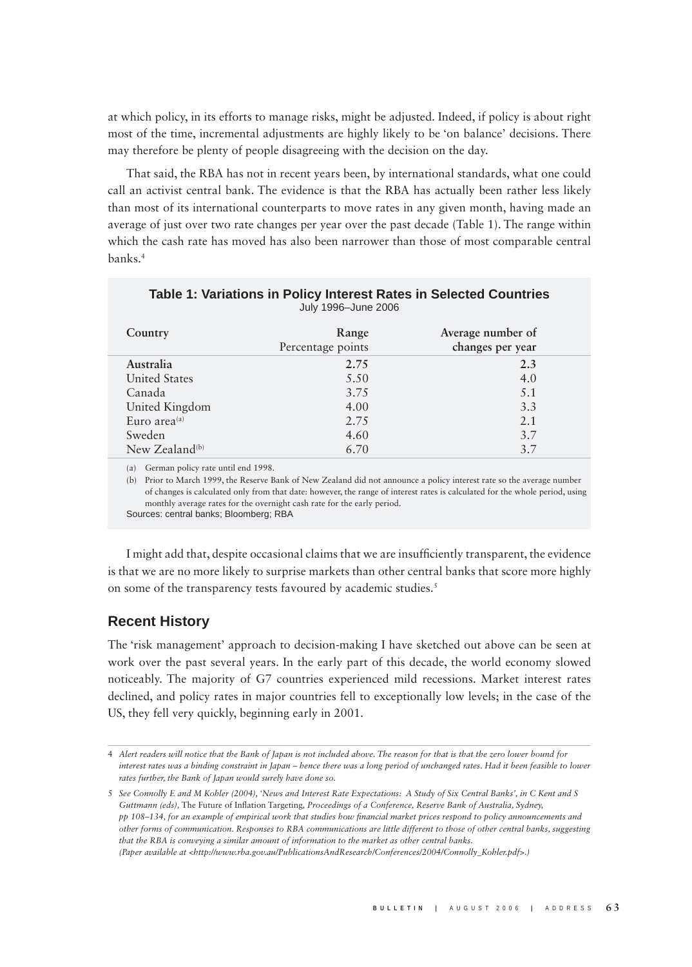at which policy, in its efforts to manage risks, might be adjusted. Indeed, if policy is about right most of the time, incremental adjustments are highly likely to be 'on balance' decisions. There may therefore be plenty of people disagreeing with the decision on the day.

That said, the RBA has not in recent years been, by international standards, what one could call an activist central bank. The evidence is that the RBA has actually been rather less likely than most of its international counterparts to move rates in any given month, having made an average of just over two rate changes per year over the past decade (Table 1). The range within which the cash rate has moved has also been narrower than those of most comparable central banks.4

| Country                    | Range<br>Percentage points | Average number of<br>changes per year |
|----------------------------|----------------------------|---------------------------------------|
| Australia                  | 2.75                       | 2.3                                   |
| <b>United States</b>       | 5.50                       | 4.0                                   |
| Canada                     | 3.75                       | 5.1                                   |
| United Kingdom             | 4.00                       | 3.3                                   |
| Euro area $(a)$            | 2.75                       | 2.1                                   |
| Sweden                     | 4.60                       | 3.7                                   |
| New Zealand <sup>(b)</sup> | 6.70                       | 37                                    |

| Table 1: Variations in Policy Interest Rates in Selected Countries |                     |  |  |
|--------------------------------------------------------------------|---------------------|--|--|
|                                                                    | July 1996–June 2006 |  |  |

(a) German policy rate until end 1998.

(b) Prior to March 1999, the Reserve Bank of New Zealand did not announce a policy interest rate so the average number of changes is calculated only from that date: however, the range of interest rates is calculated for the whole period, using monthly average rates for the overnight cash rate for the early period.

Sources: central banks; Bloomberg; RBA

I might add that, despite occasional claims that we are insufficiently transparent, the evidence is that we are no more likely to surprise markets than other central banks that score more highly on some of the transparency tests favoured by academic studies.<sup>5</sup>

## **Recent History**

The 'risk management' approach to decision-making I have sketched out above can be seen at work over the past several years. In the early part of this decade, the world economy slowed noticeably. The majority of G7 countries experienced mild recessions. Market interest rates declined, and policy rates in major countries fell to exceptionally low levels; in the case of the US, they fell very quickly, beginning early in 2001.

<sup>4</sup> *Alert readers will notice that the Bank of Japan is not included above. The reason for that is that the zero lower bound for interest rates was a binding constraint in Japan – hence there was a long period of unchanged rates. Had it been feasible to lower rates further, the Bank of Japan would surely have done so.*

<sup>5</sup> *See Connolly E and M Kohler (2004), 'News and Interest Rate Expectations: A Study of Six Central Banks', in C Kent and S*  Guttmann (eds), The Future of Inflation Targeting, Proceedings of a Conference, Reserve Bank of Australia, Sydney, *pp 108–134, for an example of empirical work that studies how financial market prices respond to policy announcements and other forms of communication. Responses to RBA communications are little different to those of other central banks, suggesting that the RBA is conveying a similar amount of information to the market as other central banks. (Paper available at <http://www.rba.gov.au/PublicationsAndResearch/Conferences/2004/Connolly\_Kohler.pdf>.)*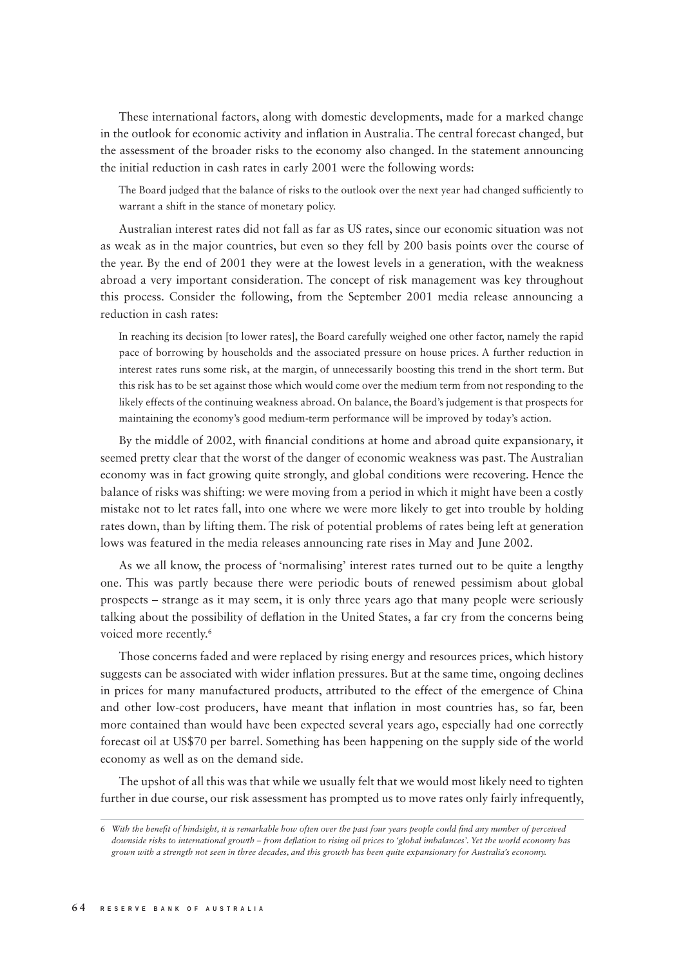These international factors, along with domestic developments, made for a marked change in the outlook for economic activity and inflation in Australia. The central forecast changed, but the assessment of the broader risks to the economy also changed. In the statement announcing the initial reduction in cash rates in early 2001 were the following words:

The Board judged that the balance of risks to the outlook over the next year had changed sufficiently to warrant a shift in the stance of monetary policy.

Australian interest rates did not fall as far as US rates, since our economic situation was not as weak as in the major countries, but even so they fell by 200 basis points over the course of the year. By the end of 2001 they were at the lowest levels in a generation, with the weakness abroad a very important consideration. The concept of risk management was key throughout this process. Consider the following, from the September 2001 media release announcing a reduction in cash rates:

In reaching its decision [to lower rates], the Board carefully weighed one other factor, namely the rapid pace of borrowing by households and the associated pressure on house prices. A further reduction in interest rates runs some risk, at the margin, of unnecessarily boosting this trend in the short term. But this risk has to be set against those which would come over the medium term from not responding to the likely effects of the continuing weakness abroad. On balance, the Board's judgement is that prospects for maintaining the economy's good medium-term performance will be improved by today's action.

By the middle of 2002, with financial conditions at home and abroad quite expansionary, it seemed pretty clear that the worst of the danger of economic weakness was past. The Australian economy was in fact growing quite strongly, and global conditions were recovering. Hence the balance of risks was shifting: we were moving from a period in which it might have been a costly mistake not to let rates fall, into one where we were more likely to get into trouble by holding rates down, than by lifting them. The risk of potential problems of rates being left at generation lows was featured in the media releases announcing rate rises in May and June 2002.

As we all know, the process of 'normalising' interest rates turned out to be quite a lengthy one. This was partly because there were periodic bouts of renewed pessimism about global prospects – strange as it may seem, it is only three years ago that many people were seriously talking about the possibility of deflation in the United States, a far cry from the concerns being voiced more recently.<sup>6</sup>

Those concerns faded and were replaced by rising energy and resources prices, which history suggests can be associated with wider inflation pressures. But at the same time, ongoing declines in prices for many manufactured products, attributed to the effect of the emergence of China and other low-cost producers, have meant that inflation in most countries has, so far, been more contained than would have been expected several years ago, especially had one correctly forecast oil at US\$70 per barrel. Something has been happening on the supply side of the world economy as well as on the demand side.

The upshot of all this was that while we usually felt that we would most likely need to tighten further in due course, our risk assessment has prompted us to move rates only fairly infrequently,

<sup>6</sup> With the benefit of hindsight, it is remarkable how often over the past four years people could find any number of perceived *downside risks to international growth – from defl ation to rising oil prices to 'global imbalances'. Yet the world economy has grown with a strength not seen in three decades, and this growth has been quite expansionary for Australia's economy.*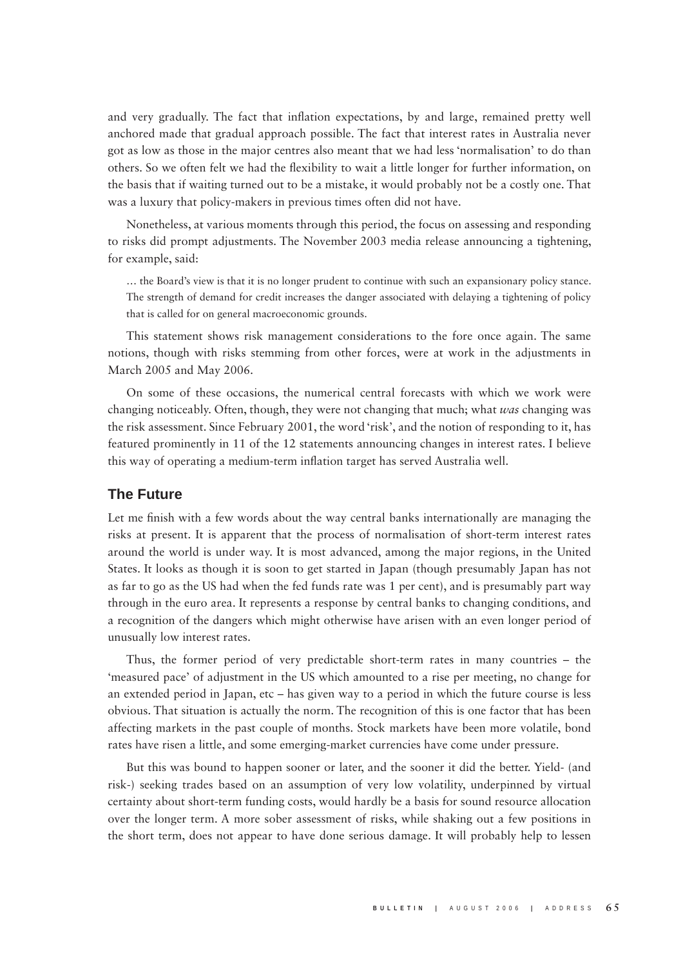and very gradually. The fact that inflation expectations, by and large, remained pretty well anchored made that gradual approach possible. The fact that interest rates in Australia never got as low as those in the major centres also meant that we had less 'normalisation' to do than others. So we often felt we had the flexibility to wait a little longer for further information, on the basis that if waiting turned out to be a mistake, it would probably not be a costly one. That was a luxury that policy-makers in previous times often did not have.

Nonetheless, at various moments through this period, the focus on assessing and responding to risks did prompt adjustments. The November 2003 media release announcing a tightening, for example, said:

… the Board's view is that it is no longer prudent to continue with such an expansionary policy stance. The strength of demand for credit increases the danger associated with delaying a tightening of policy that is called for on general macroeconomic grounds.

This statement shows risk management considerations to the fore once again. The same notions, though with risks stemming from other forces, were at work in the adjustments in March 2005 and May 2006.

On some of these occasions, the numerical central forecasts with which we work were changing noticeably. Often, though, they were not changing that much; what *was* changing was the risk assessment. Since February 2001, the word 'risk', and the notion of responding to it, has featured prominently in 11 of the 12 statements announcing changes in interest rates. I believe this way of operating a medium-term inflation target has served Australia well.

### **The Future**

Let me finish with a few words about the way central banks internationally are managing the risks at present. It is apparent that the process of normalisation of short-term interest rates around the world is under way. It is most advanced, among the major regions, in the United States. It looks as though it is soon to get started in Japan (though presumably Japan has not as far to go as the US had when the fed funds rate was 1 per cent), and is presumably part way through in the euro area. It represents a response by central banks to changing conditions, and a recognition of the dangers which might otherwise have arisen with an even longer period of unusually low interest rates.

Thus, the former period of very predictable short-term rates in many countries – the 'measured pace' of adjustment in the US which amounted to a rise per meeting, no change for an extended period in Japan, etc – has given way to a period in which the future course is less obvious. That situation is actually the norm. The recognition of this is one factor that has been affecting markets in the past couple of months. Stock markets have been more volatile, bond rates have risen a little, and some emerging-market currencies have come under pressure.

But this was bound to happen sooner or later, and the sooner it did the better. Yield- (and risk-) seeking trades based on an assumption of very low volatility, underpinned by virtual certainty about short-term funding costs, would hardly be a basis for sound resource allocation over the longer term. A more sober assessment of risks, while shaking out a few positions in the short term, does not appear to have done serious damage. It will probably help to lessen